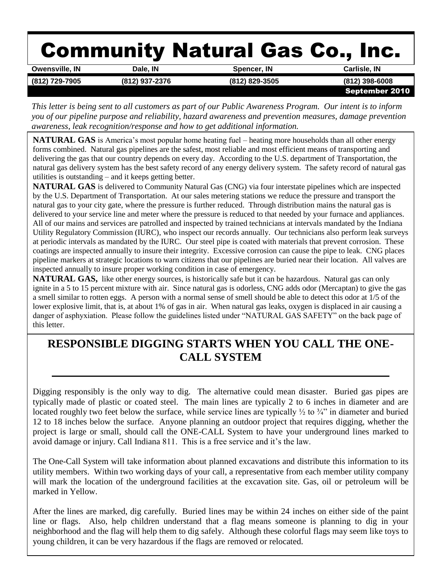# Community Natural Gas Co., Inc.

| <b>Owensville, IN</b> | Dale, IN       | Spencer, IN    | Carlisle, IN     |
|-----------------------|----------------|----------------|------------------|
| (812) 729-7905        | (812) 937-2376 | (812) 829-3505 | $(812)$ 398-6008 |
|                       |                |                | September 2010   |

*This letter is being sent to all customers as part of our Public Awareness Program. Our intent is to inform you of our pipeline purpose and reliability, hazard awareness and prevention measures, damage prevention awareness, leak recognition/response and how to get additional information.*

**NATURAL GAS** is America's most popular home heating fuel – heating more households than all other energy forms combined. Natural gas pipelines are the safest, most reliable and most efficient means of transporting and delivering the gas that our country depends on every day. According to the U.S. department of Transportation, the natural gas delivery system has the best safety record of any energy delivery system. The safety record of natural gas utilities is outstanding – and it keeps getting better.

**NATURAL GAS** is delivered to Community Natural Gas (CNG) via four interstate pipelines which are inspected by the U.S. Department of Transportation. At our sales metering stations we reduce the pressure and transport the natural gas to your city gate, where the pressure is further reduced. Through distribution mains the natural gas is delivered to your service line and meter where the pressure is reduced to that needed by your furnace and appliances. All of our mains and services are patrolled and inspected by trained technicians at intervals mandated by the Indiana Utility Regulatory Commission (IURC), who inspect our records annually. Our technicians also perform leak surveys at periodic intervals as mandated by the IURC. Our steel pipe is coated with materials that prevent corrosion. These coatings are inspected annually to insure their integrity. Excessive corrosion can cause the pipe to leak. CNG places pipeline markers at strategic locations to warn citizens that our pipelines are buried near their location. All valves are inspected annually to insure proper working condition in case of emergency.

**NATURAL GAS,** like other energy sources, is historically safe but it can be hazardous. Natural gas can only ignite in a 5 to 15 percent mixture with air. Since natural gas is odorless, CNG adds odor (Mercaptan) to give the gas a smell similar to rotten eggs. A person with a normal sense of smell should be able to detect this odor at 1/5 of the lower explosive limit, that is, at about 1% of gas in air. When natural gas leaks, oxygen is displaced in air causing a danger of asphyxiation. Please follow the guidelines listed under "NATURAL GAS SAFETY" on the back page of this letter.

## **RESPONSIBLE DIGGING STARTS WHEN YOU CALL THE ONE-CALL SYSTEM**

Digging responsibly is the only way to dig. The alternative could mean disaster. Buried gas pipes are typically made of plastic or coated steel. The main lines are typically 2 to 6 inches in diameter and are located roughly two feet below the surface, while service lines are typically  $\frac{1}{2}$  to  $\frac{3}{4}$ " in diameter and buried 12 to 18 inches below the surface. Anyone planning an outdoor project that requires digging, whether the project is large or small, should call the ONE-CALL System to have your underground lines marked to avoid damage or injury. Call Indiana 811. This is a free service and it's the law.

The One-Call System will take information about planned excavations and distribute this information to its utility members. Within two working days of your call, a representative from each member utility company will mark the location of the underground facilities at the excavation site. Gas, oil or petroleum will be marked in Yellow.

After the lines are marked, dig carefully. Buried lines may be within 24 inches on either side of the paint line or flags. Also, help children understand that a flag means someone is planning to dig in your neighborhood and the flag will help them to dig safely. Although these colorful flags may seem like toys to young children, it can be very hazardous if the flags are removed or relocated.